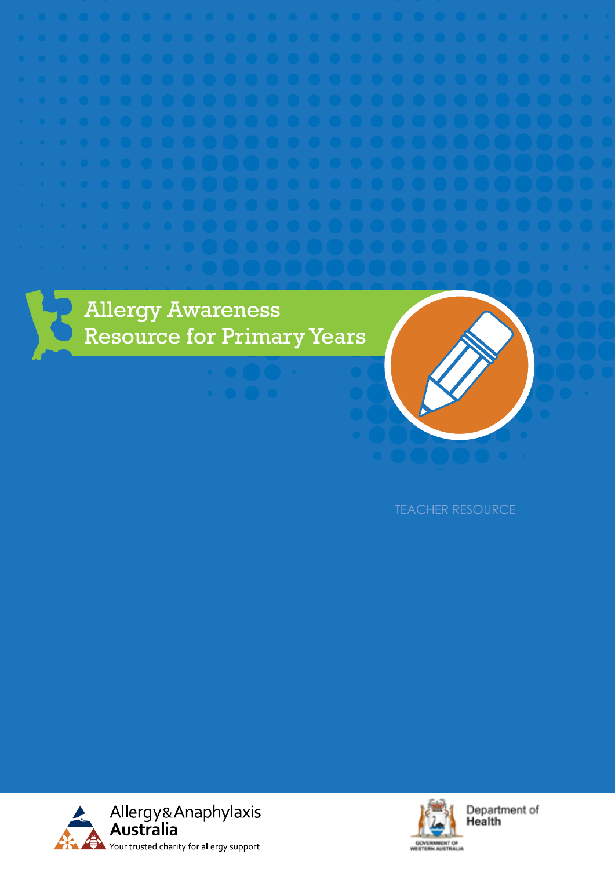



Department of Health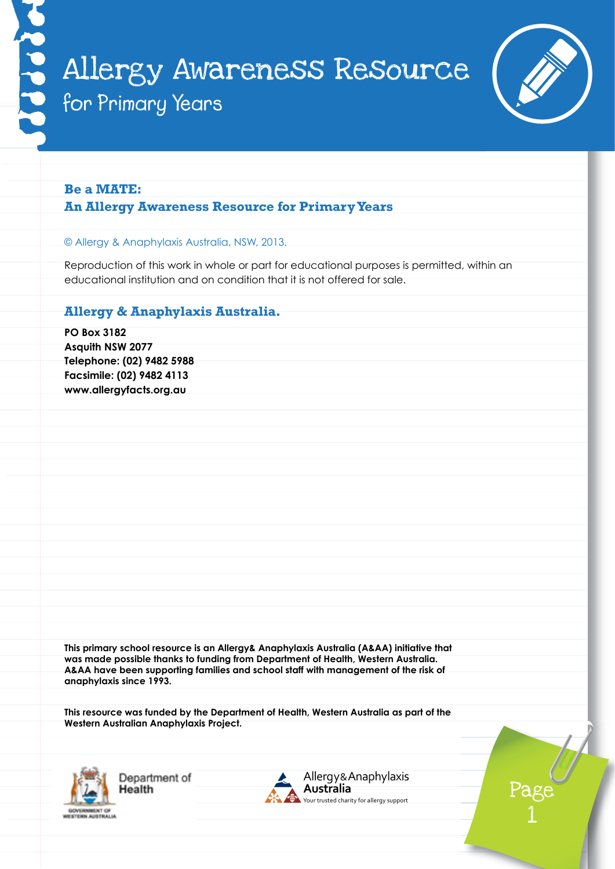

# **Be a MATE: An Allergy Awareness Resource for Primary Years**

#### © Allergy & Anaphylaxis Australia, NSW, 2013.

Reproduction of this work in whole or part for educational purposes is permitted, within an educational institution and on condition that it is not offered for sale.

# **Allergy & Anaphylaxis Australia.**

**PO Box 3182 Asquith NSW 2077 Telephone: (02) 9482 5988 Facsimile: (02) 9482 4113 www.allergyfacts.org.au This primary school resource is an Allergy& Anaphylaxis Australia (A&AA) initiative that was made possible thanks to funding from Department of Health, Western Australia. A&AA have been supporting families and school staff with management of the risk of anaphylaxis since 1993.**

**This resource was funded by the Department of Health, Western Australia as part of the Western Australian Anaphylaxis Project.**



Department of lealth



Page 1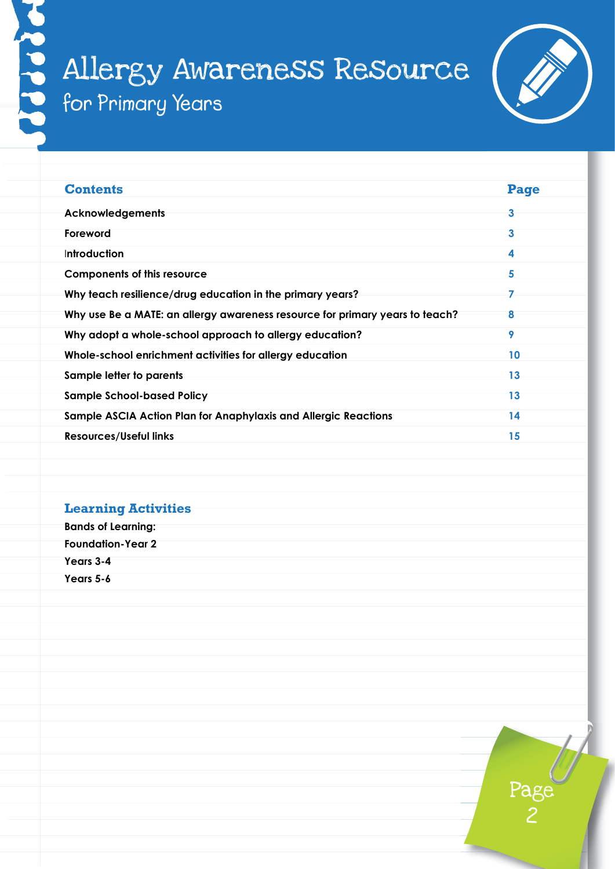

| <b>Contents</b>                                                              | Page |
|------------------------------------------------------------------------------|------|
| <b>Acknowledgements</b>                                                      | 3    |
| Foreword                                                                     | 3    |
| Introduction                                                                 | 4    |
| <b>Components of this resource</b>                                           | 5    |
| Why teach resilience/drug education in the primary years?                    | 7    |
| Why use Be a MATE: an allergy awareness resource for primary years to teach? | 8    |
| Why adopt a whole-school approach to allergy education?                      | 9    |
| Whole-school enrichment activities for allergy education                     | 10   |
| Sample letter to parents                                                     | 13   |
| <b>Sample School-based Policy</b>                                            | 13   |
| Sample ASCIA Action Plan for Anaphylaxis and Allergic Reactions              | 14   |
| <b>Resources/Useful links</b>                                                | 15   |

# **Learning Activities**

| <b>Bands of Learning:</b> |  |
|---------------------------|--|
| <b>Foundation-Year 2</b>  |  |
| Years 3-4                 |  |
| Years 5-6                 |  |
|                           |  |

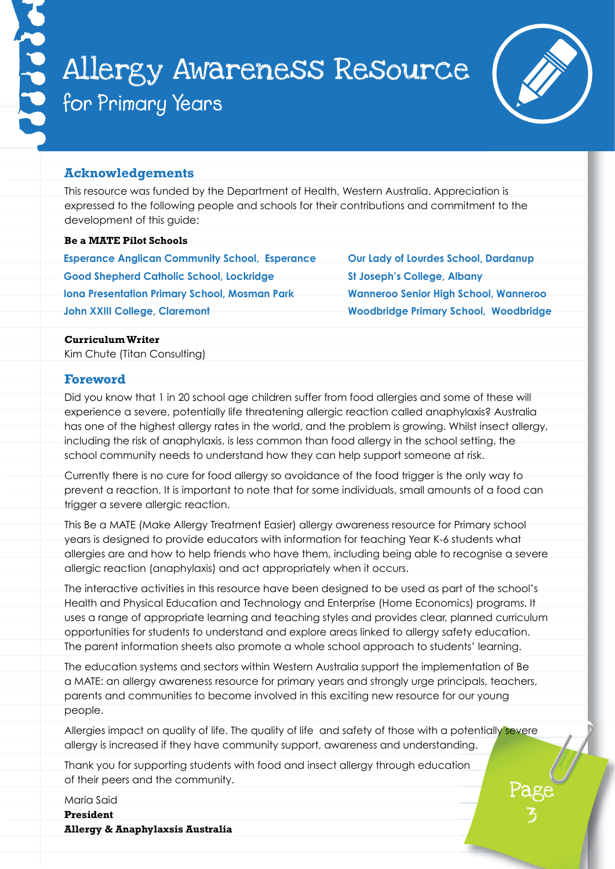

 $\mathfrak{p}$ 

#### **Acknowledgements**

This resource was funded by the Department of Health, Western Australia. Appreciation is expressed to the following people and schools for their contributions and commitment to the development of this guide:

#### **Be a MATE Pilot Schools**

**Esperance Anglican Community School, Esperance Good Shepherd Catholic School, Lockridge Iona Presentation Primary School, Mosman Park John XXIII College, Claremont**

**Our Lady of Lourdes School, Dardanup St Joseph's College, Albany Wanneroo Senior High School, Wanneroo Woodbridge Primary School, Woodbridge**

#### **Curriculum Writer**

Kim Chute (Titan Consulting)

#### **Foreword**

Did you know that 1 in 20 school age children suffer from food allergies and some of these will experience a severe, potentially life threatening allergic reaction called anaphylaxis? Australia has one of the highest allergy rates in the world, and the problem is growing. Whilst insect allergy, including the risk of anaphylaxis, is less common than food allergy in the school setting, the school community needs to understand how they can help support someone at risk.

Currently there is no cure for food allergy so avoidance of the food trigger is the only way to prevent a reaction. It is important to note that for some individuals, small amounts of a food can trigger a severe allergic reaction.

This Be a MATE (Make Allergy Treatment Easier) allergy awareness resource for Primary school years is designed to provide educators with information for teaching Year K-6 students what allergies are and how to help friends who have them, including being able to recognise a severe allergic reaction (anaphylaxis) and act appropriately when it occurs.

The interactive activities in this resource have been designed to be used as part of the school's Health and Physical Education and Technology and Enterprise (Home Economics) programs. It uses a range of appropriate learning and teaching styles and provides clear, planned curriculum opportunities for students to understand and explore areas linked to allergy safety education. The parent information sheets also promote a whole school approach to students' learning.

The education systems and sectors within Western Australia support the implementation of Be a MATE: an allergy awareness resource for primary years and strongly urge principals, teachers, parents and communities to become involved in this exciting new resource for our young people.

Allergies impact on quality of life. The quality of life and safety of those with a potentially severe allergy is increased if they have community support, awareness and understanding.

Thank you for supporting students with food and insect allergy through education of their peers and the community.

Maria Said

**President Allergy & Anaphylaxsis Australia**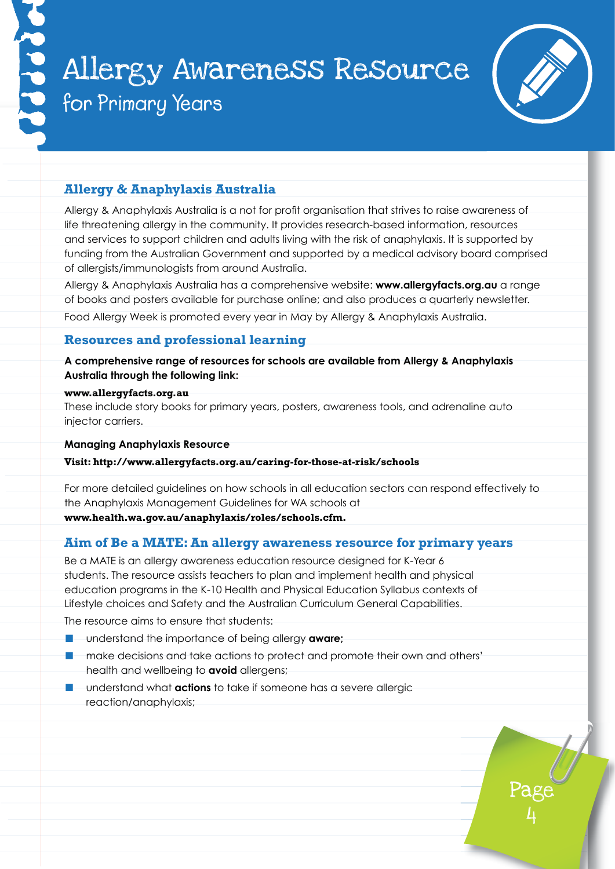

4

# **Allergy & Anaphylaxis Australia**

Allergy & Anaphylaxis Australia is a not for profit organisation that strives to raise awareness of life threatening allergy in the community. It provides research-based information, resources and services to support children and adults living with the risk of anaphylaxis. It is supported by funding from the Australian Government and supported by a medical advisory board comprised of allergists/immunologists from around Australia.

Allergy & Anaphylaxis Australia has a comprehensive website: **www.allergyfacts.org.au** a range of books and posters available for purchase online; and also produces a quarterly newsletter.

Food Allergy Week is promoted every year in May by Allergy & Anaphylaxis Australia.

#### **Resources and professional learning**

**A comprehensive range of resources for schools are available from Allergy & Anaphylaxis Australia through the following link:**

#### **www.allergyfacts.org.au**

These include story books for primary years, posters, awareness tools, and adrenaline auto injector carriers.

#### **Managing Anaphylaxis Resource**

#### **Visit: http://www.allergyfacts.org.au/caring-for-those-at-risk/schools**

For more detailed guidelines on how schools in all education sectors can respond effectively to the Anaphylaxis Management Guidelines for WA schools at

#### **www.health.wa.gov.au/anaphylaxis/roles/schools.cfm.**

#### **Aim of Be a MATE: An allergy awareness resource for primary years**

Be a MATE is an allergy awareness education resource designed for K-Year 6 students. The resource assists teachers to plan and implement health and physical education programs in the K-10 Health and Physical Education Syllabus contexts of Lifestyle choices and Safety and the Australian Curriculum General Capabilities.

The resource aims to ensure that students:

- understand the importance of being allergy **aware:**
- make decisions and take actions to protect and promote their own and others' health and wellbeing to **avoid** allergens;
- understand what **actions** to take if someone has a severe allergic reaction/anaphylaxis;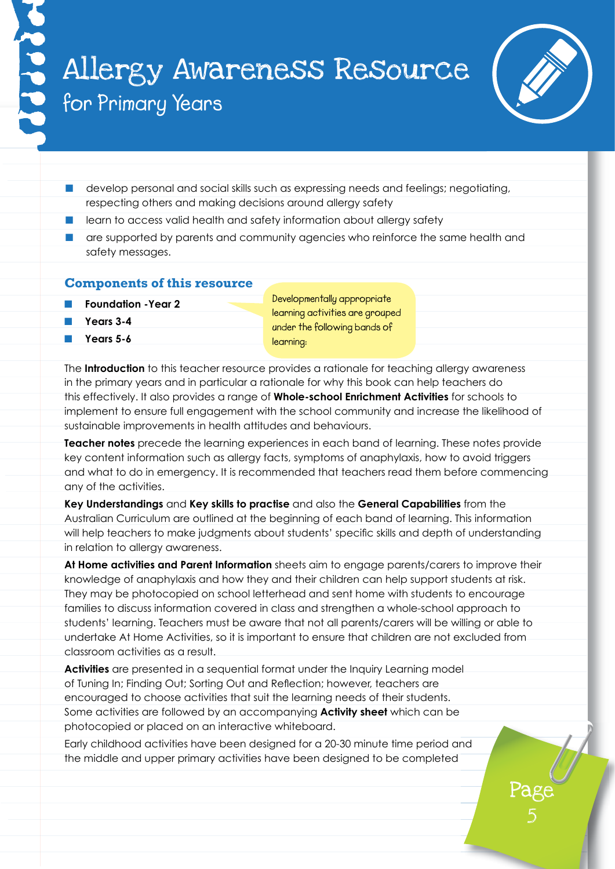

Page

 $\mathcal{O}$ 

- $\blacksquare$  develop personal and social skills such as expressing needs and feelings; negotiating, respecting others and making decisions around allergy safety
- learn to access valid health and safety information about allergy safety
- $\Box$  are supported by parents and community agencies who reinforce the same health and safety messages.

#### **Components of this resource**

- **Foundation -Year 2**
- n **Years 3-4**
- **Years 5-6**

**Developmentally appropriate learning activities are grouped under the following bands of learning:**

The **Introduction** to this teacher resource provides a rationale for teaching allergy awareness in the primary years and in particular a rationale for why this book can help teachers do this effectively. It also provides a range of **Whole-school Enrichment Activities** for schools to implement to ensure full engagement with the school community and increase the likelihood of sustainable improvements in health attitudes and behaviours.

**Teacher notes** precede the learning experiences in each band of learning. These notes provide key content information such as allergy facts, symptoms of anaphylaxis, how to avoid triggers and what to do in emergency. It is recommended that teachers read them before commencing any of the activities.

**Key Understandings** and **Key skills to practise** and also the **General Capabilities** from the Australian Curriculum are outlined at the beginning of each band of learning. This information will help teachers to make judgments about students' specific skills and depth of understanding in relation to allergy awareness.

**At Home activities and Parent Information** sheets aim to engage parents/carers to improve their knowledge of anaphylaxis and how they and their children can help support students at risk. They may be photocopied on school letterhead and sent home with students to encourage families to discuss information covered in class and strengthen a whole-school approach to students' learning. Teachers must be aware that not all parents/carers will be willing or able to undertake At Home Activities, so it is important to ensure that children are not excluded from classroom activities as a result.

**Activities** are presented in a sequential format under the Inquiry Learning model of Tuning In; Finding Out; Sorting Out and Reflection; however, teachers are encouraged to choose activities that suit the learning needs of their students. Some activities are followed by an accompanying **Activity sheet** which can be photocopied or placed on an interactive whiteboard.

Early childhood activities have been designed for a 20-30 minute time period and the middle and upper primary activities have been designed to be completed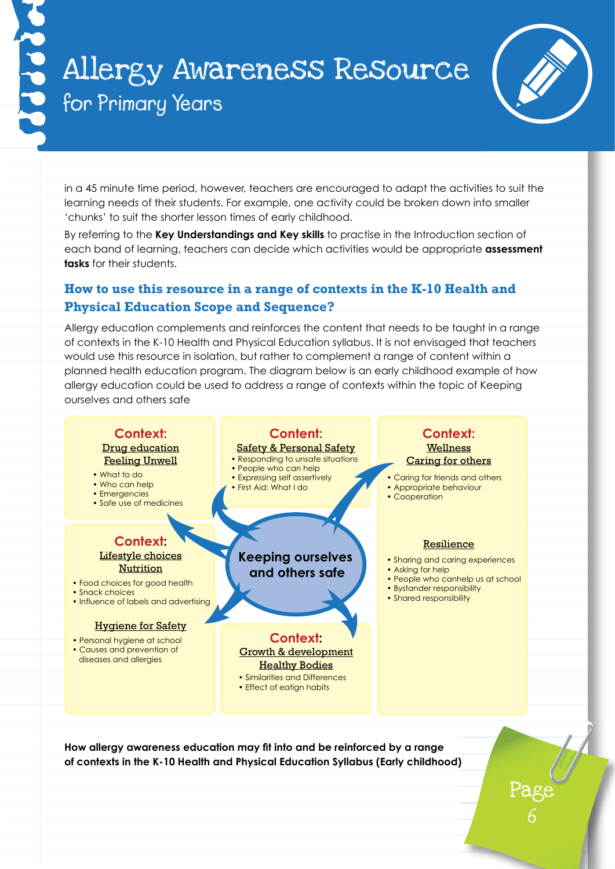

Page

6

in a 45 minute time period, however, teachers are encouraged to adapt the activities to suit the learning needs of their students. For example, one activity could be broken down into smaller 'chunks' to suit the shorter lesson times of early childhood.

By referring to the **Key Understandings and Key skills** to practise in the Introduction section of each band of learning, teachers can decide which activities would be appropriate **assessment tasks** for their students.

# **How to use this resource in a range of contexts in the K-10 Health and Physical Education Scope and Sequence?**

Allergy education complements and reinforces the content that needs to be taught in a range of contexts in the K-10 Health and Physical Education syllabus. It is not envisaged that teachers would use this resource in isolation, but rather to complement a range of content within a planned health education program. The diagram below is an early childhood example of how allergy education could be used to address a range of contexts within the topic of Keeping ourselves and others safe



**How allergy awareness education may fit into and be reinforced by a range of contexts in the K-10 Health and Physical Education Syllabus (Early childhood)**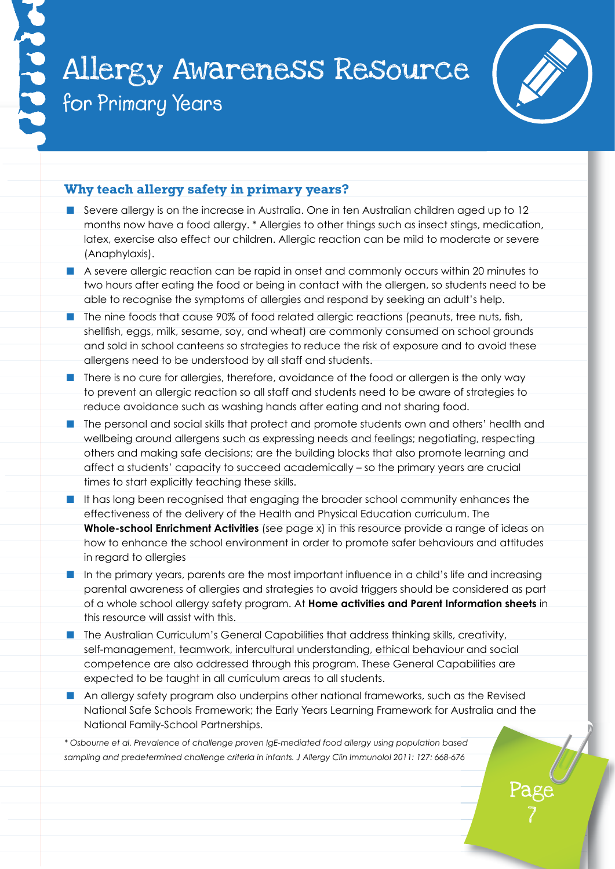

 $\sqrt{2}$ 

### **Why teach allergy safety in primary years?**

- **n** Severe allergy is on the increase in Australia. One in ten Australian children aged up to 12 months now have a food allergy. \* Allergies to other things such as insect stings, medication, latex, exercise also effect our children. Allergic reaction can be mild to moderate or severe (Anaphylaxis).
- A severe allergic reaction can be rapid in onset and commonly occurs within 20 minutes to two hours after eating the food or being in contact with the allergen, so students need to be able to recognise the symptoms of allergies and respond by seeking an adult's help.
- $\blacksquare$  The nine foods that cause 90% of food related allergic reactions (peanuts, tree nuts, fish, shellfish, eggs, milk, sesame, soy, and wheat) are commonly consumed on school grounds and sold in school canteens so strategies to reduce the risk of exposure and to avoid these allergens need to be understood by all staff and students.
- **n** There is no cure for allergies, therefore, avoidance of the food or allergen is the only way to prevent an allergic reaction so all staff and students need to be aware of strategies to reduce avoidance such as washing hands after eating and not sharing food.
- $\blacksquare$  The personal and social skills that protect and promote students own and others' health and wellbeing around allergens such as expressing needs and feelings; negotiating, respecting others and making safe decisions; are the building blocks that also promote learning and affect a students' capacity to succeed academically – so the primary years are crucial times to start explicitly teaching these skills.
- $\blacksquare$  It has long been recognised that engaging the broader school community enhances the effectiveness of the delivery of the Health and Physical Education curriculum. The **Whole-school Enrichment Activities** (see page x) in this resource provide a range of ideas on how to enhance the school environment in order to promote safer behaviours and attitudes in regard to allergies
- $\blacksquare$  In the primary years, parents are the most important influence in a child's life and increasing parental awareness of allergies and strategies to avoid triggers should be considered as part of a whole school allergy safety program. At **Home activities and Parent Information sheets** in this resource will assist with this.
- n The Australian Curriculum's General Capabilities that address thinking skills, creativity, self-management, teamwork, intercultural understanding, ethical behaviour and social competence are also addressed through this program. These General Capabilities are expected to be taught in all curriculum areas to all students.
- $\blacksquare$  An allergy safety program also underpins other national frameworks, such as the Revised National Safe Schools Framework; the Early Years Learning Framework for Australia and the National Family-School Partnerships.

*\* Osbourne et al. Prevalence of challenge proven IgE-mediated food allergy using population based sampling and predetermined challenge criteria in infants. J Allergy Clin Immunolol 2011: 127: 668-676*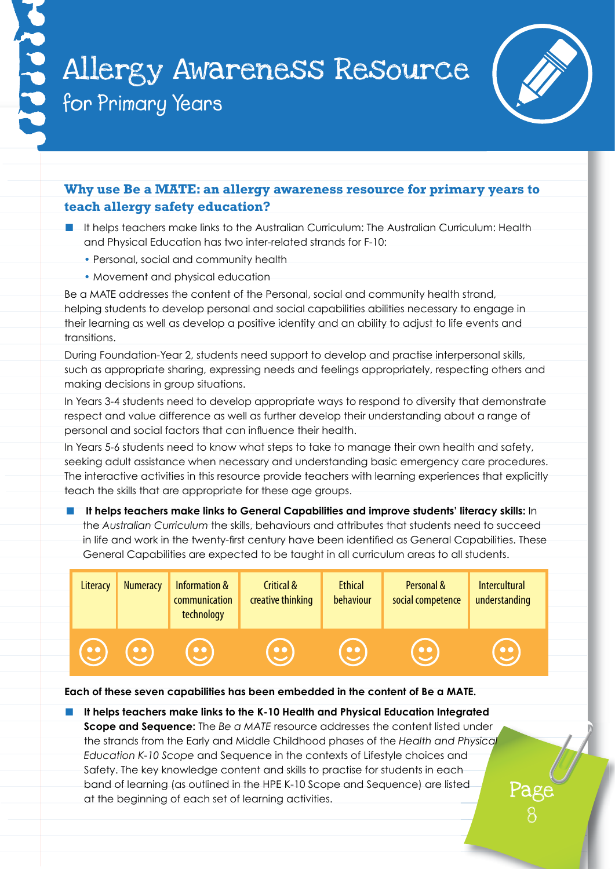

 $\emptyset$ 

# **Why use Be a MATE: an allergy awareness resource for primary years to teach allergy safety education?**

- **n** It helps teachers make links to the Australian Curriculum: The Australian Curriculum: Health and Physical Education has two inter-related strands for F-10:
	- Personal, social and community health
	- Movement and physical education

Be a MATE addresses the content of the Personal, social and community health strand, helping students to develop personal and social capabilities abilities necessary to engage in their learning as well as develop a positive identity and an ability to adjust to life events and transitions.

During Foundation-Year 2, students need support to develop and practise interpersonal skills, such as appropriate sharing, expressing needs and feelings appropriately, respecting others and making decisions in group situations.

In Years 3-4 students need to develop appropriate ways to respond to diversity that demonstrate respect and value difference as well as further develop their understanding about a range of personal and social factors that can influence their health.

In Years 5-6 students need to know what steps to take to manage their own health and safety, seeking adult assistance when necessary and understanding basic emergency care procedures. The interactive activities in this resource provide teachers with learning experiences that explicitly teach the skills that are appropriate for these age groups.

It helps teachers make links to General Capabilities and improve students' literacy skills: In the *Australian Curriculum* the skills, behaviours and attributes that students need to succeed in life and work in the twenty-first century have been identified as General Capabilities. These General Capabilities are expected to be taught in all curriculum areas to all students.



#### **Each of these seven capabilities has been embedded in the content of Be a MATE.**

**n** It helps teachers make links to the K-10 Health and Physical Education Integrated **Scope and Sequence:** The *Be a MATE* resource addresses the content listed under the strands from the Early and Middle Childhood phases of the *Health and Physical Education K-10 Scope* and Sequence in the contexts of Lifestyle choices and Safety. The key knowledge content and skills to practise for students in each band of learning (as outlined in the HPE K-10 Scope and Sequence) are listed at the beginning of each set of learning activities.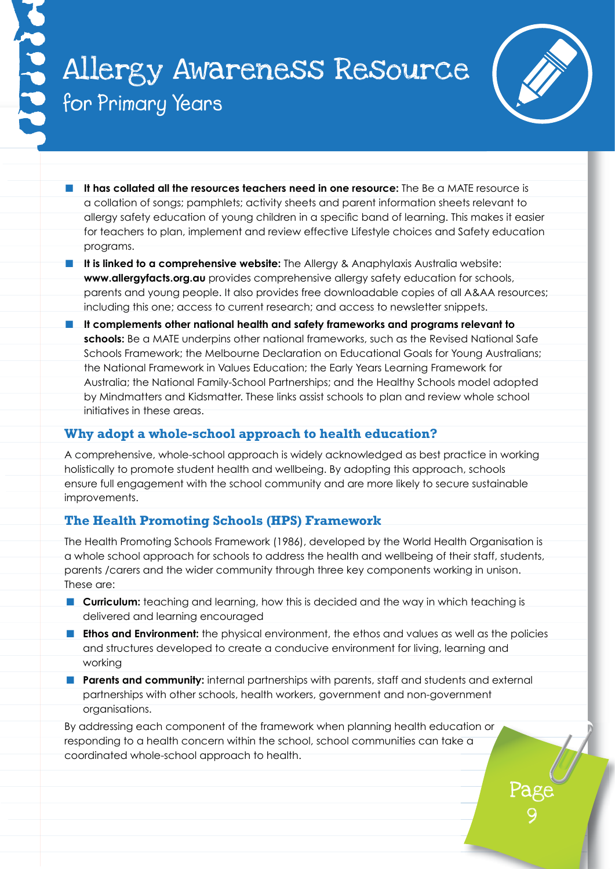

Page

9

- **n** It has collated all the resources teachers need in one resource: The Be a MATE resource is a collation of songs; pamphlets; activity sheets and parent information sheets relevant to allergy safety education of young children in a specific band of learning. This makes it easier for teachers to plan, implement and review effective Lifestyle choices and Safety education programs.
- **n It is linked to a comprehensive website:** The Allergy & Anaphylaxis Australia website: **www.allergyfacts.org.au** provides comprehensive allergy safety education for schools, parents and young people. It also provides free downloadable copies of all A&AA resources; including this one; access to current research; and access to newsletter snippets.
- **n** It complements other national health and safety frameworks and programs relevant to **schools:** Be a MATE underpins other national frameworks, such as the Revised National Safe Schools Framework; the Melbourne Declaration on Educational Goals for Young Australians; the National Framework in Values Education; the Early Years Learning Framework for Australia; the National Family-School Partnerships; and the Healthy Schools model adopted by Mindmatters and Kidsmatter. These links assist schools to plan and review whole school initiatives in these areas.

### **Why adopt a whole-school approach to health education?**

A comprehensive, whole-school approach is widely acknowledged as best practice in working holistically to promote student health and wellbeing. By adopting this approach, schools ensure full engagement with the school community and are more likely to secure sustainable improvements.

### **The Health Promoting Schools (HPS) Framework**

The Health Promoting Schools Framework (1986), developed by the World Health Organisation is a whole school approach for schools to address the health and wellbeing of their staff, students, parents /carers and the wider community through three key components working in unison. These are:

- **n Curriculum:** teaching and learning, how this is decided and the way in which teaching is delivered and learning encouraged
- **n Ethos and Environment:** the physical environment, the ethos and values as well as the policies and structures developed to create a conducive environment for living, learning and working
- **n** Parents and community: internal partnerships with parents, staff and students and external partnerships with other schools, health workers, government and non-government organisations.

By addressing each component of the framework when planning health education or responding to a health concern within the school, school communities can take a coordinated whole-school approach to health.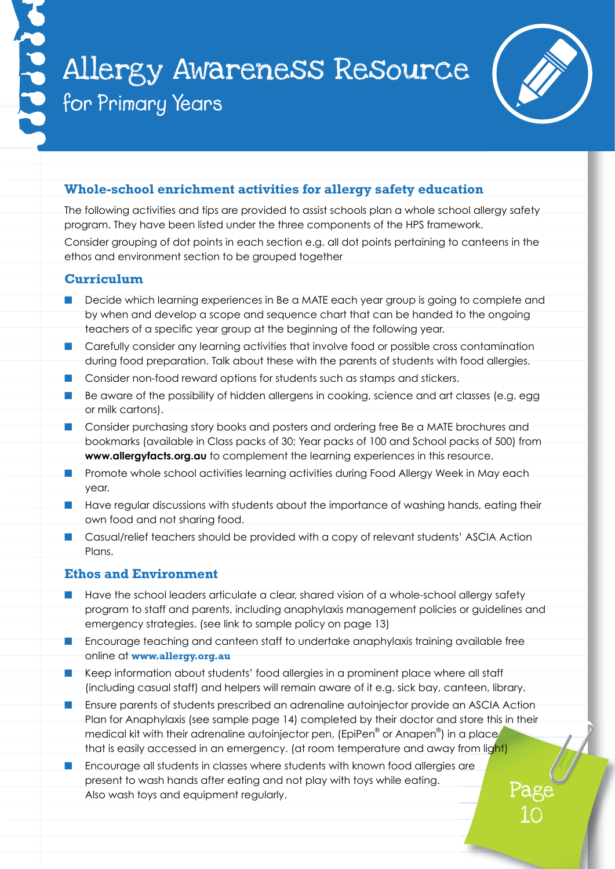

Page

10

# **Whole-school enrichment activities for allergy safety education**

The following activities and tips are provided to assist schools plan a whole school allergy safety program. They have been listed under the three components of the HPS framework.

Consider grouping of dot points in each section e.g. all dot points pertaining to canteens in the ethos and environment section to be grouped together

### **Curriculum**

- $\blacksquare$  Decide which learning experiences in Be a MATE each year group is going to complete and by when and develop a scope and sequence chart that can be handed to the ongoing teachers of a specific year group at the beginning of the following year.
- Carefully consider any learning activities that involve food or possible cross contamination during food preparation. Talk about these with the parents of students with food allergies.
- Consider non-food reward options for students such as stamps and stickers.
- $\blacksquare$  Be aware of the possibility of hidden allergens in cooking, science and art classes (e.g. egg or milk cartons).
- **n** Consider purchasing story books and posters and ordering free Be a MATE brochures and bookmarks (available in Class packs of 30; Year packs of 100 and School packs of 500) from **www.allergyfacts.org.au** to complement the learning experiences in this resource.
- **n** Promote whole school activities learning activities during Food Allergy Week in May each year.
- **n** Have regular discussions with students about the importance of washing hands, eating their own food and not sharing food.
- Casual/relief teachers should be provided with a copy of relevant students' ASCIA Action Plans.

### **Ethos and Environment**

- Have the school leaders articulate a clear, shared vision of a whole-school allergy safety program to staff and parents, including anaphylaxis management policies or guidelines and emergency strategies. (see link to sample policy on page 13)
- Encourage teaching and canteen staff to undertake anaphylaxis training available free online at **www.allergy.org.au**
- Keep information about students' food allergies in a prominent place where all staff (including casual staff) and helpers will remain aware of it e.g. sick bay, canteen, library.
- Ensure parents of students prescribed an adrenaline autoinjector provide an ASCIA Action Plan for Anaphylaxis (see sample page 14) completed by their doctor and store this in their medical kit with their adrenaline autoinjector pen, (EpiPen® or Anapen®) in a place that is easily accessed in an emergency. (at room temperature and away from light)
- Encourage all students in classes where students with known food allergies are present to wash hands after eating and not play with toys while eating. Also wash toys and equipment regularly.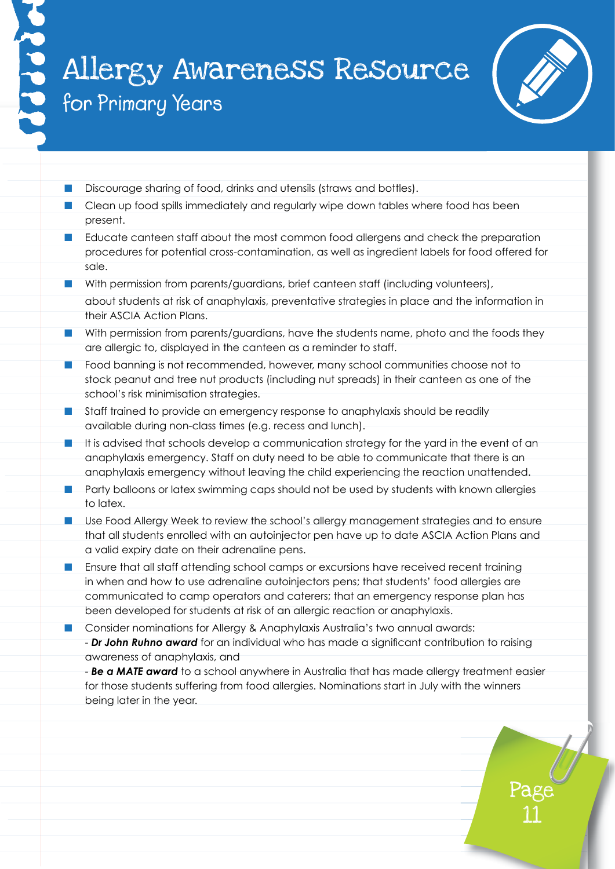

Page

11

- Discourage sharing of food, drinks and utensils (straws and bottles).
- Clean up food spills immediately and regularly wipe down tables where food has been present.
- Educate canteen staff about the most common food allergens and check the preparation procedures for potential cross-contamination, as well as ingredient labels for food offered for sale.
- **n** With permission from parents/guardians, brief canteen staff (including volunteers), about students at risk of anaphylaxis, preventative strategies in place and the information in their ASCIA Action Plans.
- With permission from parents/guardians, have the students name, photo and the foods they are allergic to, displayed in the canteen as a reminder to staff.
- $\blacksquare$  Food banning is not recommended, however, many school communities choose not to stock peanut and tree nut products (including nut spreads) in their canteen as one of the school's risk minimisation strategies.
- Staff trained to provide an emergency response to anaphylaxis should be readily available during non-class times (e.g. recess and lunch).
- It is advised that schools develop a communication strategy for the yard in the event of an anaphylaxis emergency. Staff on duty need to be able to communicate that there is an anaphylaxis emergency without leaving the child experiencing the reaction unattended.
- **n** Party balloons or latex swimming caps should not be used by students with known allergies to latex.
- **n** Use Food Allergy Week to review the school's allergy management strategies and to ensure that all students enrolled with an autoinjector pen have up to date ASCIA Action Plans and a valid expiry date on their adrenaline pens.
- Ensure that all staff attending school camps or excursions have received recent training in when and how to use adrenaline autoinjectors pens; that students' food allergies are communicated to camp operators and caterers; that an emergency response plan has been developed for students at risk of an allergic reaction or anaphylaxis.
- **n** Consider nominations for Allergy & Anaphylaxis Australia's two annual awards: - *Dr John Ruhno award* for an individual who has made a significant contribution to raising awareness of anaphylaxis, and
	- *Be a MATE award* to a school anywhere in Australia that has made allergy treatment easier for those students suffering from food allergies. Nominations start in July with the winners being later in the year.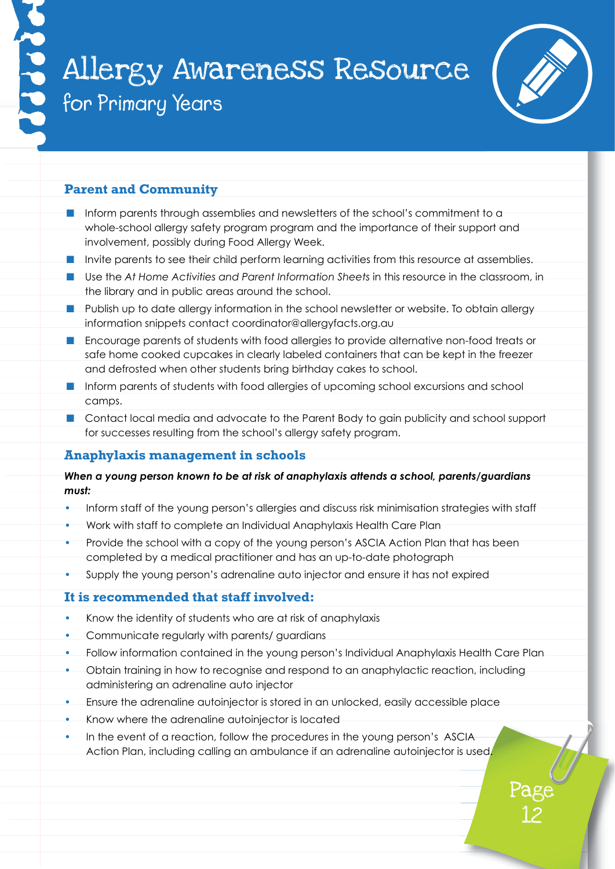

12

### **Parent and Community**

- $\blacksquare$  Inform parents through assemblies and newsletters of the school's commitment to a whole-school allergy safety program program and the importance of their support and involvement, possibly during Food Allergy Week.
- **n** Invite parents to see their child perform learning activities from this resource at assemblies.
- Use the At Home Activities and Parent Information Sheets in this resource in the classroom, in the library and in public areas around the school.
- **n** Publish up to date allergy information in the school newsletter or website. To obtain allergy information snippets contact coordinator@allergyfacts.org.au
- **n** Encourage parents of students with food allergies to provide alternative non-food treats or safe home cooked cupcakes in clearly labeled containers that can be kept in the freezer and defrosted when other students bring birthday cakes to school.
- **n** Inform parents of students with food allergies of upcoming school excursions and school camps.
- **n** Contact local media and advocate to the Parent Body to gain publicity and school support for successes resulting from the school's allergy safety program.

# **Anaphylaxis management in schools**

#### *When a young person known to be at risk of anaphylaxis attends a school, parents/guardians must:*

- Inform staff of the young person's allergies and discuss risk minimisation strategies with staff
- work with staff to complete an Individual Anaphylaxis Health Care Plan
- Provide the school with a copy of the young person's ASCIA Action Plan that has been completed by a medical practitioner and has an up-to-date photograph
- supply the young person's adrenaline auto injector and ensure it has not expired

#### **It is recommended that staff involved:**

- know the identity of students who are at risk of anaphylaxis
- communicate regularly with parents/ guardians
- follow information contained in the young person's Individual Anaphylaxis Health Care Plan
- Obtain training in how to recognise and respond to an anaphylactic reaction, including administering an adrenaline auto injector
- ensure the adrenaline autoinjector is stored in an unlocked, easily accessible place
- know where the adrenaline autoinjector is located
- in the event of a reaction, follow the procedures in the young person's ASCIA Action Plan, including calling an ambulance if an adrenaline autoinjector is used.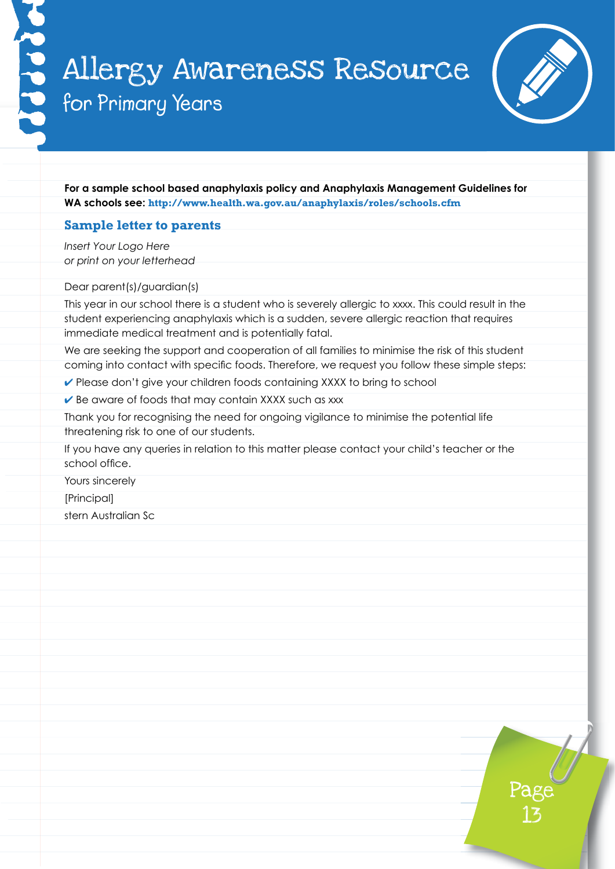

**For a sample school based anaphylaxis policy and Anaphylaxis Management Guidelines for WA schools see: http://www.health.wa.gov.au/anaphylaxis/roles/schools.cfm**

### **Sample letter to parents**

*Insert Your Logo Here or print on your letterhead*

Dear parent(s)/guardian(s)

This year in our school there is a student who is severely allergic to xxxx. This could result in the student experiencing anaphylaxis which is a sudden, severe allergic reaction that requires immediate medical treatment and is potentially fatal.

We are seeking the support and cooperation of all families to minimise the risk of this student coming into contact with specific foods. Therefore, we request you follow these simple steps:

► Please don't give your children foods containing XXXX to bring to school

 $\vee$  Be aware of foods that may contain XXXX such as xxx

Thank you for recognising the need for ongoing vigilance to minimise the potential life threatening risk to one of our students.

If you have any queries in relation to this matter please contact your child's teacher or the school office.

Yours sincerely

[Principal]

stern Australian Sc

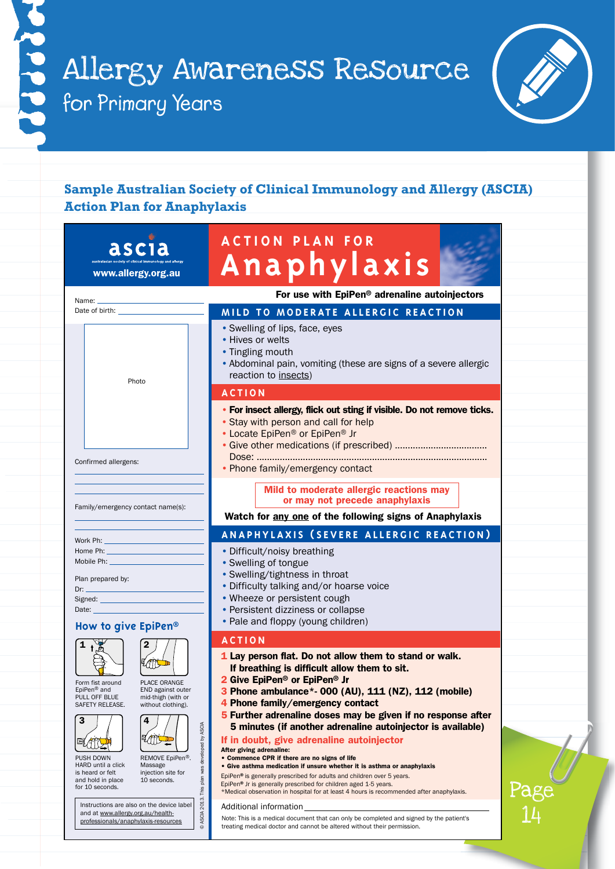

# **Sample Australian Society of Clinical Immunology and Allergy (ASCIA) Action Plan for Anaphylaxis**

| asci                                                                                                                                                                                                                                                                                                                                                                                                              | <b>ACTION PLAN FOR</b>                                                                                                                                                                                                                                                                                                                                                                                                                                                                                                                                                                                                                                                                                                                                                                                                              |
|-------------------------------------------------------------------------------------------------------------------------------------------------------------------------------------------------------------------------------------------------------------------------------------------------------------------------------------------------------------------------------------------------------------------|-------------------------------------------------------------------------------------------------------------------------------------------------------------------------------------------------------------------------------------------------------------------------------------------------------------------------------------------------------------------------------------------------------------------------------------------------------------------------------------------------------------------------------------------------------------------------------------------------------------------------------------------------------------------------------------------------------------------------------------------------------------------------------------------------------------------------------------|
| www.allergy.org.au                                                                                                                                                                                                                                                                                                                                                                                                | Anaphylaxis                                                                                                                                                                                                                                                                                                                                                                                                                                                                                                                                                                                                                                                                                                                                                                                                                         |
| Name:                                                                                                                                                                                                                                                                                                                                                                                                             | For use with EpiPen® adrenaline autoinjectors                                                                                                                                                                                                                                                                                                                                                                                                                                                                                                                                                                                                                                                                                                                                                                                       |
|                                                                                                                                                                                                                                                                                                                                                                                                                   | MILD TO MODERATE ALLERGIC REACTION                                                                                                                                                                                                                                                                                                                                                                                                                                                                                                                                                                                                                                                                                                                                                                                                  |
| Photo                                                                                                                                                                                                                                                                                                                                                                                                             | • Swelling of lips, face, eyes<br>• Hives or welts<br>• Tingling mouth<br>• Abdominal pain, vomiting (these are signs of a severe allergic<br>reaction to insects)                                                                                                                                                                                                                                                                                                                                                                                                                                                                                                                                                                                                                                                                  |
|                                                                                                                                                                                                                                                                                                                                                                                                                   | <b>ACTION</b>                                                                                                                                                                                                                                                                                                                                                                                                                                                                                                                                                                                                                                                                                                                                                                                                                       |
| Confirmed allergens:                                                                                                                                                                                                                                                                                                                                                                                              | • For insect allergy, flick out sting if visible. Do not remove ticks.<br>• Stay with person and call for help<br>• Locate EpiPen <sup>®</sup> or EpiPen <sup>®</sup> Jr<br>• Phone family/emergency contact                                                                                                                                                                                                                                                                                                                                                                                                                                                                                                                                                                                                                        |
|                                                                                                                                                                                                                                                                                                                                                                                                                   | Mild to moderate allergic reactions may<br>or may not precede anaphylaxis                                                                                                                                                                                                                                                                                                                                                                                                                                                                                                                                                                                                                                                                                                                                                           |
| Family/emergency contact name(s):                                                                                                                                                                                                                                                                                                                                                                                 | Watch for any one of the following signs of Anaphylaxis                                                                                                                                                                                                                                                                                                                                                                                                                                                                                                                                                                                                                                                                                                                                                                             |
| Work Ph: ______________________                                                                                                                                                                                                                                                                                                                                                                                   | ANAPHYLAXIS (SEVERE ALLERGIC REACTION)                                                                                                                                                                                                                                                                                                                                                                                                                                                                                                                                                                                                                                                                                                                                                                                              |
| Mobile Ph:<br>Plan prepared by:<br>Date: $\frac{1}{2}$<br>How to give EpiPen®                                                                                                                                                                                                                                                                                                                                     | • Difficult/noisy breathing<br>• Swelling of tongue<br>• Swelling/tightness in throat<br>• Difficulty talking and/or hoarse voice<br>• Wheeze or persistent cough<br>• Persistent dizziness or collapse<br>• Pale and floppy (young children)                                                                                                                                                                                                                                                                                                                                                                                                                                                                                                                                                                                       |
| 1                                                                                                                                                                                                                                                                                                                                                                                                                 | <b>ACTION</b>                                                                                                                                                                                                                                                                                                                                                                                                                                                                                                                                                                                                                                                                                                                                                                                                                       |
| <b>ATL</b><br>PLACE ORANGE<br>Form fist around<br>EpiPen <sup>®</sup> and<br>END against outer<br>PULL OFF BLUE<br>mid-thigh (with or<br>SAFETY RELEASE.<br>without clothing).<br>3<br>4<br>2013. This plan was developed by ASCIA<br>LOOL<br>吗<br>REMOVE EpiPen®.<br>PUSH DOWN<br>HARD until a click<br>Massage<br>injection site for<br>is heard or felt<br>10 seconds.<br>and hold in place<br>for 10 seconds. | 1 Lay person flat. Do not allow them to stand or walk.<br>If breathing is difficult allow them to sit.<br>2 Give EpiPen <sup>®</sup> or EpiPen <sup>®</sup> Jr<br>3 Phone ambulance*- 000 (AU), 111 (NZ), 112 (mobile)<br>4 Phone family/emergency contact<br>5 Further adrenaline doses may be given if no response after<br>5 minutes (if another adrenaline autoinjector is available)<br>If in doubt, give adrenaline autoinjector<br>After giving adrenaline:<br>• Commence CPR if there are no signs of life<br>• Give asthma medication if unsure whether it is asthma or anaphylaxis<br>EpiPen® is generally prescribed for adults and children over 5 years.<br>EpiPen® Jr is generally prescribed for children aged 1-5 years.<br>*Medical observation in hospital for at least 4 hours is recommended after anaphylaxis. |
| Instructions are also on the device label<br>and at www.allergy.org.au/health-<br>© ASCIA<br>professionals/anaphylaxis-resources                                                                                                                                                                                                                                                                                  | Additional information<br>Note: This is a medical document that can only be completed and signed by the patient's<br>treating medical doctor and cannot be altered without their permission.                                                                                                                                                                                                                                                                                                                                                                                                                                                                                                                                                                                                                                        |